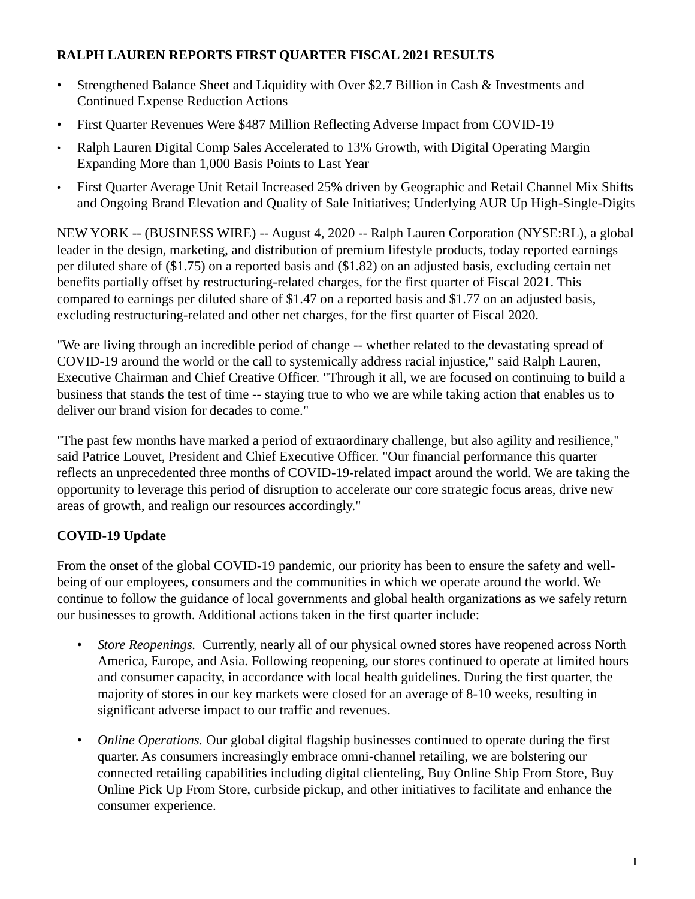## **RALPH LAUREN REPORTS FIRST QUARTER FISCAL 2021 RESULTS**

- Strengthened Balance Sheet and Liquidity with Over \$2.7 Billion in Cash & Investments and Continued Expense Reduction Actions
- First Quarter Revenues Were \$487 Million Reflecting Adverse Impact from COVID-19
- Ralph Lauren Digital Comp Sales Accelerated to 13% Growth, with Digital Operating Margin Expanding More than 1,000 Basis Points to Last Year
- First Quarter Average Unit Retail Increased 25% driven by Geographic and Retail Channel Mix Shifts and Ongoing Brand Elevation and Quality of Sale Initiatives; Underlying AUR Up High-Single-Digits

NEW YORK -- (BUSINESS WIRE) -- August 4, 2020 -- Ralph Lauren Corporation (NYSE:RL), a global leader in the design, marketing, and distribution of premium lifestyle products, today reported earnings per diluted share of (\$1.75) on a reported basis and (\$1.82) on an adjusted basis, excluding certain net benefits partially offset by restructuring-related charges, for the first quarter of Fiscal 2021. This compared to earnings per diluted share of \$1.47 on a reported basis and \$1.77 on an adjusted basis, excluding restructuring-related and other net charges, for the first quarter of Fiscal 2020.

"We are living through an incredible period of change -- whether related to the devastating spread of COVID-19 around the world or the call to systemically address racial injustice," said Ralph Lauren, Executive Chairman and Chief Creative Officer. "Through it all, we are focused on continuing to build a business that stands the test of time -- staying true to who we are while taking action that enables us to deliver our brand vision for decades to come."

"The past few months have marked a period of extraordinary challenge, but also agility and resilience," said Patrice Louvet, President and Chief Executive Officer. "Our financial performance this quarter reflects an unprecedented three months of COVID-19-related impact around the world. We are taking the opportunity to leverage this period of disruption to accelerate our core strategic focus areas, drive new areas of growth, and realign our resources accordingly."

## **COVID-19 Update**

From the onset of the global COVID-19 pandemic, our priority has been to ensure the safety and wellbeing of our employees, consumers and the communities in which we operate around the world. We continue to follow the guidance of local governments and global health organizations as we safely return our businesses to growth. Additional actions taken in the first quarter include:

- *Store Reopenings.* Currently, nearly all of our physical owned stores have reopened across North America, Europe, and Asia. Following reopening, our stores continued to operate at limited hours and consumer capacity, in accordance with local health guidelines. During the first quarter, the majority of stores in our key markets were closed for an average of 8-10 weeks, resulting in significant adverse impact to our traffic and revenues.
- *Online Operations.* Our global digital flagship businesses continued to operate during the first quarter. As consumers increasingly embrace omni-channel retailing, we are bolstering our connected retailing capabilities including digital clienteling, Buy Online Ship From Store, Buy Online Pick Up From Store, curbside pickup, and other initiatives to facilitate and enhance the consumer experience.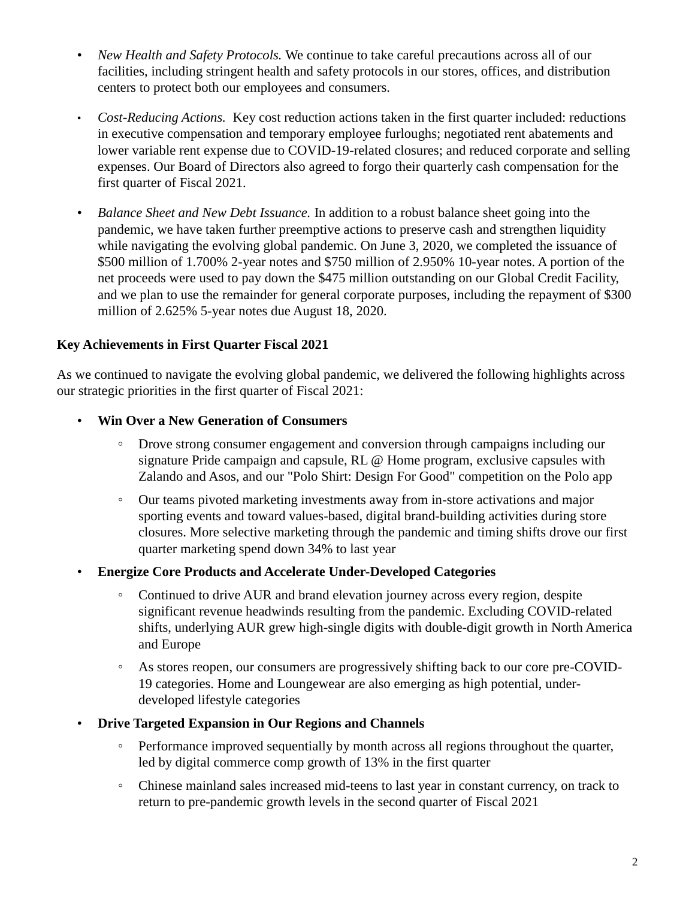- *New Health and Safety Protocols.* We continue to take careful precautions across all of our facilities, including stringent health and safety protocols in our stores, offices, and distribution centers to protect both our employees and consumers.
- *Cost-Reducing Actions.* Key cost reduction actions taken in the first quarter included: reductions in executive compensation and temporary employee furloughs; negotiated rent abatements and lower variable rent expense due to COVID-19-related closures; and reduced corporate and selling expenses. Our Board of Directors also agreed to forgo their quarterly cash compensation for the first quarter of Fiscal 2021.
- *Balance Sheet and New Debt Issuance.* In addition to a robust balance sheet going into the pandemic, we have taken further preemptive actions to preserve cash and strengthen liquidity while navigating the evolving global pandemic. On June 3, 2020, we completed the issuance of \$500 million of 1.700% 2-year notes and \$750 million of 2.950% 10-year notes. A portion of the net proceeds were used to pay down the \$475 million outstanding on our Global Credit Facility, and we plan to use the remainder for general corporate purposes, including the repayment of \$300 million of 2.625% 5-year notes due August 18, 2020.

## **Key Achievements in First Quarter Fiscal 2021**

As we continued to navigate the evolving global pandemic, we delivered the following highlights across our strategic priorities in the first quarter of Fiscal 2021:

- **Win Over a New Generation of Consumers**
	- Drove strong consumer engagement and conversion through campaigns including our signature Pride campaign and capsule, RL @ Home program, exclusive capsules with Zalando and Asos, and our "Polo Shirt: Design For Good" competition on the Polo app
	- Our teams pivoted marketing investments away from in-store activations and major sporting events and toward values-based, digital brand-building activities during store closures. More selective marketing through the pandemic and timing shifts drove our first quarter marketing spend down 34% to last year
- **Energize Core Products and Accelerate Under-Developed Categories**
	- Continued to drive AUR and brand elevation journey across every region, despite significant revenue headwinds resulting from the pandemic. Excluding COVID-related shifts, underlying AUR grew high-single digits with double-digit growth in North America and Europe
	- As stores reopen, our consumers are progressively shifting back to our core pre-COVID-19 categories. Home and Loungewear are also emerging as high potential, underdeveloped lifestyle categories
- **Drive Targeted Expansion in Our Regions and Channels** 
	- Performance improved sequentially by month across all regions throughout the quarter, led by digital commerce comp growth of 13% in the first quarter
	- Chinese mainland sales increased mid-teens to last year in constant currency, on track to return to pre-pandemic growth levels in the second quarter of Fiscal 2021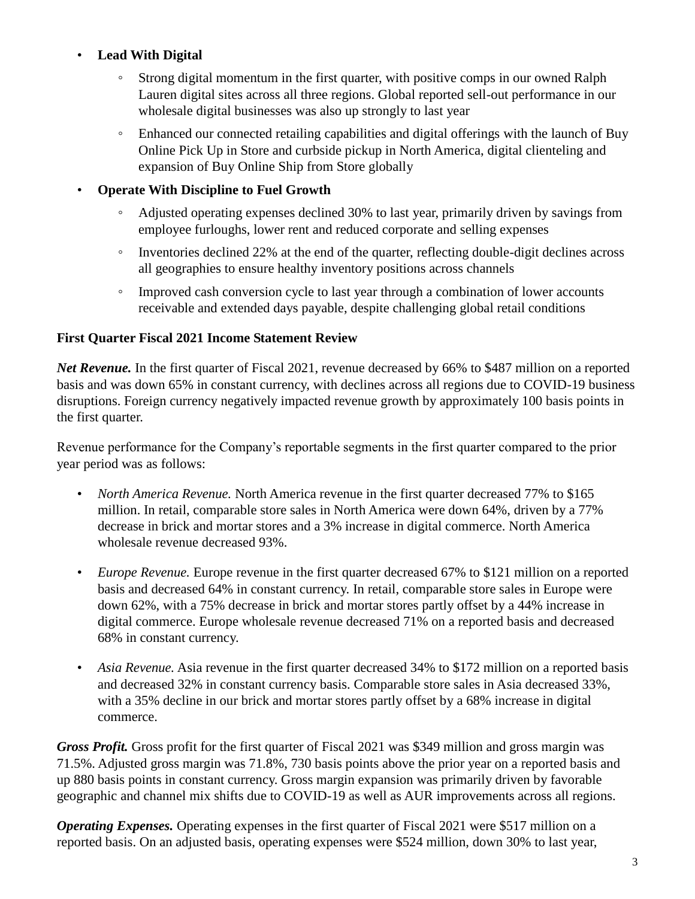## • **Lead With Digital**

- Strong digital momentum in the first quarter, with positive comps in our owned Ralph Lauren digital sites across all three regions. Global reported sell-out performance in our wholesale digital businesses was also up strongly to last year
- Enhanced our connected retailing capabilities and digital offerings with the launch of Buy Online Pick Up in Store and curbside pickup in North America, digital clienteling and expansion of Buy Online Ship from Store globally

## • **Operate With Discipline to Fuel Growth**

- Adjusted operating expenses declined 30% to last year, primarily driven by savings from employee furloughs, lower rent and reduced corporate and selling expenses
- Inventories declined 22% at the end of the quarter, reflecting double-digit declines across all geographies to ensure healthy inventory positions across channels
- Improved cash conversion cycle to last year through a combination of lower accounts receivable and extended days payable, despite challenging global retail conditions

## **First Quarter Fiscal 2021 Income Statement Review**

*Net Revenue.* In the first quarter of Fiscal 2021, revenue decreased by 66% to \$487 million on a reported basis and was down 65% in constant currency, with declines across all regions due to COVID-19 business disruptions. Foreign currency negatively impacted revenue growth by approximately 100 basis points in the first quarter.

Revenue performance for the Company's reportable segments in the first quarter compared to the prior year period was as follows:

- *North America Revenue.* North America revenue in the first quarter decreased 77% to \$165 million. In retail, comparable store sales in North America were down 64%, driven by a 77% decrease in brick and mortar stores and a 3% increase in digital commerce. North America wholesale revenue decreased 93%.
- *Europe Revenue.* Europe revenue in the first quarter decreased 67% to \$121 million on a reported basis and decreased 64% in constant currency. In retail, comparable store sales in Europe were down 62%, with a 75% decrease in brick and mortar stores partly offset by a 44% increase in digital commerce. Europe wholesale revenue decreased 71% on a reported basis and decreased 68% in constant currency.
- *Asia Revenue.* Asia revenue in the first quarter decreased 34% to \$172 million on a reported basis and decreased 32% in constant currency basis. Comparable store sales in Asia decreased 33%, with a 35% decline in our brick and mortar stores partly offset by a 68% increase in digital commerce.

*Gross Profit.* Gross profit for the first quarter of Fiscal 2021 was \$349 million and gross margin was 71.5%. Adjusted gross margin was 71.8%, 730 basis points above the prior year on a reported basis and up 880 basis points in constant currency. Gross margin expansion was primarily driven by favorable geographic and channel mix shifts due to COVID-19 as well as AUR improvements across all regions.

*Operating Expenses.* Operating expenses in the first quarter of Fiscal 2021 were \$517 million on a reported basis. On an adjusted basis, operating expenses were \$524 million, down 30% to last year,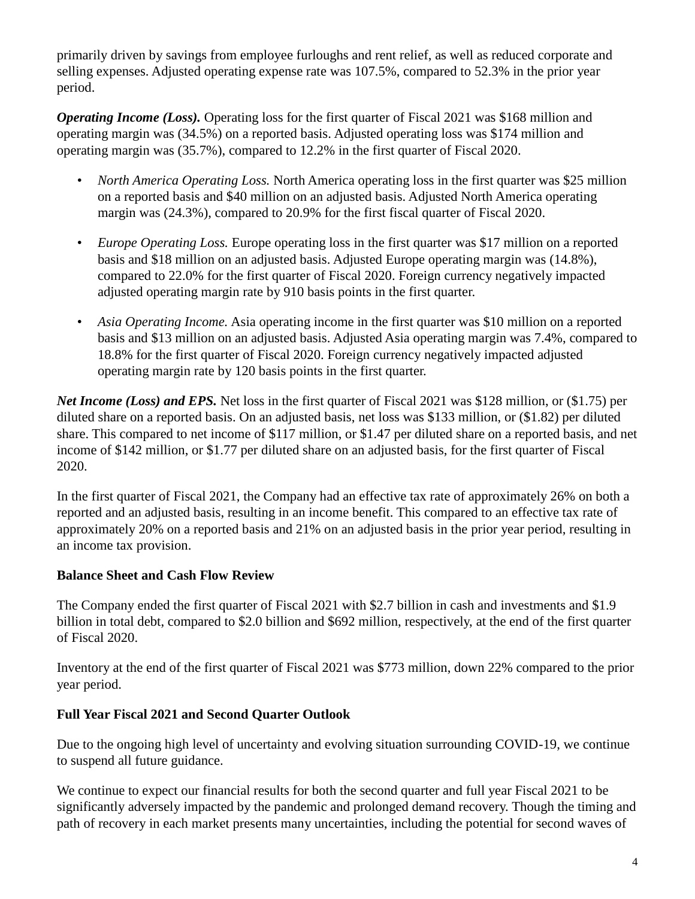primarily driven by savings from employee furloughs and rent relief, as well as reduced corporate and selling expenses. Adjusted operating expense rate was 107.5%, compared to 52.3% in the prior year period.

*Operating Income (Loss).* Operating loss for the first quarter of Fiscal 2021 was \$168 million and operating margin was (34.5%) on a reported basis. Adjusted operating loss was \$174 million and operating margin was (35.7%), compared to 12.2% in the first quarter of Fiscal 2020.

- *North America Operating Loss.* North America operating loss in the first quarter was \$25 million on a reported basis and \$40 million on an adjusted basis. Adjusted North America operating margin was (24.3%), compared to 20.9% for the first fiscal quarter of Fiscal 2020.
- *Europe Operating Loss.* Europe operating loss in the first quarter was \$17 million on a reported basis and \$18 million on an adjusted basis. Adjusted Europe operating margin was (14.8%), compared to 22.0% for the first quarter of Fiscal 2020. Foreign currency negatively impacted adjusted operating margin rate by 910 basis points in the first quarter.
- *Asia Operating Income.* Asia operating income in the first quarter was \$10 million on a reported basis and \$13 million on an adjusted basis. Adjusted Asia operating margin was 7.4%, compared to 18.8% for the first quarter of Fiscal 2020. Foreign currency negatively impacted adjusted operating margin rate by 120 basis points in the first quarter.

*Net Income (Loss) and EPS.* Net loss in the first quarter of Fiscal 2021 was \$128 million, or (\$1.75) per diluted share on a reported basis. On an adjusted basis, net loss was \$133 million, or (\$1.82) per diluted share. This compared to net income of \$117 million, or \$1.47 per diluted share on a reported basis, and net income of \$142 million, or \$1.77 per diluted share on an adjusted basis, for the first quarter of Fiscal 2020.

In the first quarter of Fiscal 2021, the Company had an effective tax rate of approximately 26% on both a reported and an adjusted basis, resulting in an income benefit. This compared to an effective tax rate of approximately 20% on a reported basis and 21% on an adjusted basis in the prior year period, resulting in an income tax provision.

## **Balance Sheet and Cash Flow Review**

The Company ended the first quarter of Fiscal 2021 with \$2.7 billion in cash and investments and \$1.9 billion in total debt, compared to \$2.0 billion and \$692 million, respectively, at the end of the first quarter of Fiscal 2020.

Inventory at the end of the first quarter of Fiscal 2021 was \$773 million, down 22% compared to the prior year period.

## **Full Year Fiscal 2021 and Second Quarter Outlook**

Due to the ongoing high level of uncertainty and evolving situation surrounding COVID-19, we continue to suspend all future guidance.

We continue to expect our financial results for both the second quarter and full year Fiscal 2021 to be significantly adversely impacted by the pandemic and prolonged demand recovery. Though the timing and path of recovery in each market presents many uncertainties, including the potential for second waves of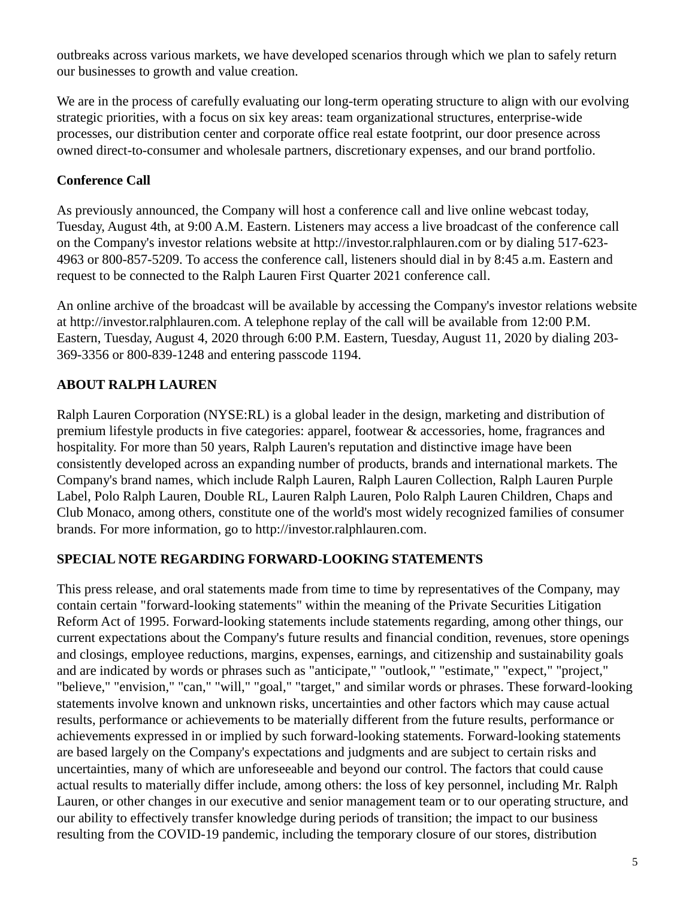outbreaks across various markets, we have developed scenarios through which we plan to safely return our businesses to growth and value creation.

We are in the process of carefully evaluating our long-term operating structure to align with our evolving strategic priorities, with a focus on six key areas: team organizational structures, enterprise-wide processes, our distribution center and corporate office real estate footprint, our door presence across owned direct-to-consumer and wholesale partners, discretionary expenses, and our brand portfolio.

## **Conference Call**

As previously announced, the Company will host a conference call and live online webcast today, Tuesday, August 4th, at 9:00 A.M. Eastern. Listeners may access a live broadcast of the conference call on the Company's investor relations website at http://investor.ralphlauren.com or by dialing 517-623- 4963 or 800-857-5209. To access the conference call, listeners should dial in by 8:45 a.m. Eastern and request to be connected to the Ralph Lauren First Quarter 2021 conference call.

An online archive of the broadcast will be available by accessing the Company's investor relations website at http://investor.ralphlauren.com. A telephone replay of the call will be available from 12:00 P.M. Eastern, Tuesday, August 4, 2020 through 6:00 P.M. Eastern, Tuesday, August 11, 2020 by dialing 203- 369-3356 or 800-839-1248 and entering passcode 1194.

## **ABOUT RALPH LAUREN**

Ralph Lauren Corporation (NYSE:RL) is a global leader in the design, marketing and distribution of premium lifestyle products in five categories: apparel, footwear & accessories, home, fragrances and hospitality. For more than 50 years, Ralph Lauren's reputation and distinctive image have been consistently developed across an expanding number of products, brands and international markets. The Company's brand names, which include Ralph Lauren, Ralph Lauren Collection, Ralph Lauren Purple Label, Polo Ralph Lauren, Double RL, Lauren Ralph Lauren, Polo Ralph Lauren Children, Chaps and Club Monaco, among others, constitute one of the world's most widely recognized families of consumer brands. For more information, go to http://investor.ralphlauren.com.

## **SPECIAL NOTE REGARDING FORWARD-LOOKING STATEMENTS**

This press release, and oral statements made from time to time by representatives of the Company, may contain certain "forward-looking statements" within the meaning of the Private Securities Litigation Reform Act of 1995. Forward-looking statements include statements regarding, among other things, our current expectations about the Company's future results and financial condition, revenues, store openings and closings, employee reductions, margins, expenses, earnings, and citizenship and sustainability goals and are indicated by words or phrases such as "anticipate," "outlook," "estimate," "expect," "project," "believe," "envision," "can," "will," "goal," "target," and similar words or phrases. These forward-looking statements involve known and unknown risks, uncertainties and other factors which may cause actual results, performance or achievements to be materially different from the future results, performance or achievements expressed in or implied by such forward-looking statements. Forward-looking statements are based largely on the Company's expectations and judgments and are subject to certain risks and uncertainties, many of which are unforeseeable and beyond our control. The factors that could cause actual results to materially differ include, among others: the loss of key personnel, including Mr. Ralph Lauren, or other changes in our executive and senior management team or to our operating structure, and our ability to effectively transfer knowledge during periods of transition; the impact to our business resulting from the COVID-19 pandemic, including the temporary closure of our stores, distribution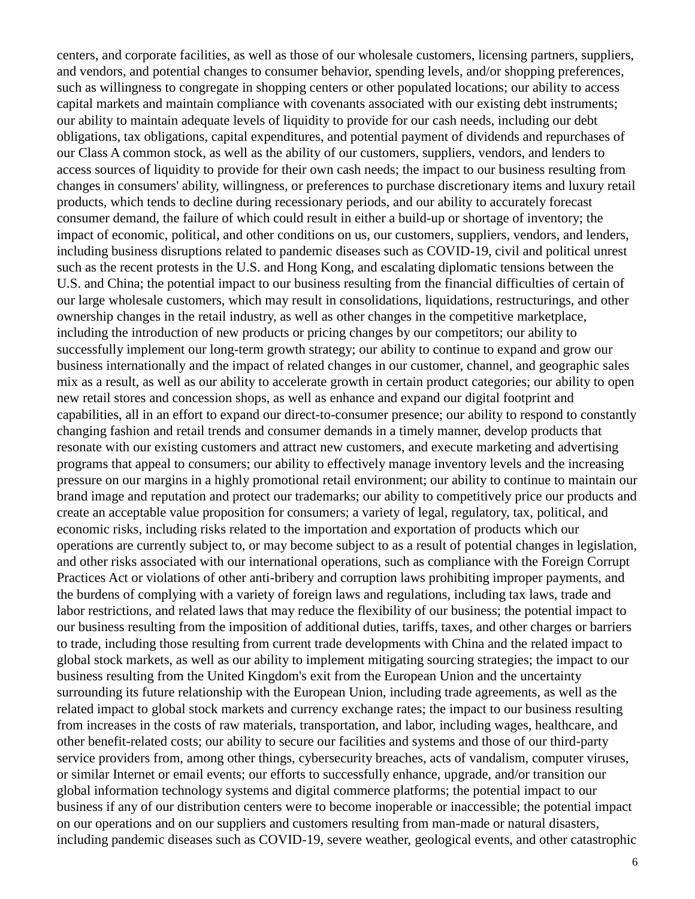centers, and corporate facilities, as well as those of our wholesale customers, licensing partners, suppliers, and vendors, and potential changes to consumer behavior, spending levels, and/or shopping preferences, such as willingness to congregate in shopping centers or other populated locations; our ability to access capital markets and maintain compliance with covenants associated with our existing debt instruments; our ability to maintain adequate levels of liquidity to provide for our cash needs, including our debt obligations, tax obligations, capital expenditures, and potential payment of dividends and repurchases of our Class A common stock, as well as the ability of our customers, suppliers, vendors, and lenders to access sources of liquidity to provide for their own cash needs; the impact to our business resulting from changes in consumers' ability, willingness, or preferences to purchase discretionary items and luxury retail products, which tends to decline during recessionary periods, and our ability to accurately forecast consumer demand, the failure of which could result in either a build-up or shortage of inventory; the impact of economic, political, and other conditions on us, our customers, suppliers, vendors, and lenders, including business disruptions related to pandemic diseases such as COVID-19, civil and political unrest such as the recent protests in the U.S. and Hong Kong, and escalating diplomatic tensions between the U.S. and China; the potential impact to our business resulting from the financial difficulties of certain of our large wholesale customers, which may result in consolidations, liquidations, restructurings, and other ownership changes in the retail industry, as well as other changes in the competitive marketplace, including the introduction of new products or pricing changes by our competitors; our ability to successfully implement our long-term growth strategy; our ability to continue to expand and grow our business internationally and the impact of related changes in our customer, channel, and geographic sales mix as a result, as well as our ability to accelerate growth in certain product categories; our ability to open new retail stores and concession shops, as well as enhance and expand our digital footprint and capabilities, all in an effort to expand our direct-to-consumer presence; our ability to respond to constantly changing fashion and retail trends and consumer demands in a timely manner, develop products that resonate with our existing customers and attract new customers, and execute marketing and advertising programs that appeal to consumers; our ability to effectively manage inventory levels and the increasing pressure on our margins in a highly promotional retail environment; our ability to continue to maintain our brand image and reputation and protect our trademarks; our ability to competitively price our products and create an acceptable value proposition for consumers; a variety of legal, regulatory, tax, political, and economic risks, including risks related to the importation and exportation of products which our operations are currently subject to, or may become subject to as a result of potential changes in legislation, and other risks associated with our international operations, such as compliance with the Foreign Corrupt Practices Act or violations of other anti-bribery and corruption laws prohibiting improper payments, and the burdens of complying with a variety of foreign laws and regulations, including tax laws, trade and labor restrictions, and related laws that may reduce the flexibility of our business; the potential impact to our business resulting from the imposition of additional duties, tariffs, taxes, and other charges or barriers to trade, including those resulting from current trade developments with China and the related impact to global stock markets, as well as our ability to implement mitigating sourcing strategies; the impact to our business resulting from the United Kingdom's exit from the European Union and the uncertainty surrounding its future relationship with the European Union, including trade agreements, as well as the related impact to global stock markets and currency exchange rates; the impact to our business resulting from increases in the costs of raw materials, transportation, and labor, including wages, healthcare, and other benefit-related costs; our ability to secure our facilities and systems and those of our third-party service providers from, among other things, cybersecurity breaches, acts of vandalism, computer viruses, or similar Internet or email events; our efforts to successfully enhance, upgrade, and/or transition our global information technology systems and digital commerce platforms; the potential impact to our business if any of our distribution centers were to become inoperable or inaccessible; the potential impact on our operations and on our suppliers and customers resulting from man-made or natural disasters, including pandemic diseases such as COVID-19, severe weather, geological events, and other catastrophic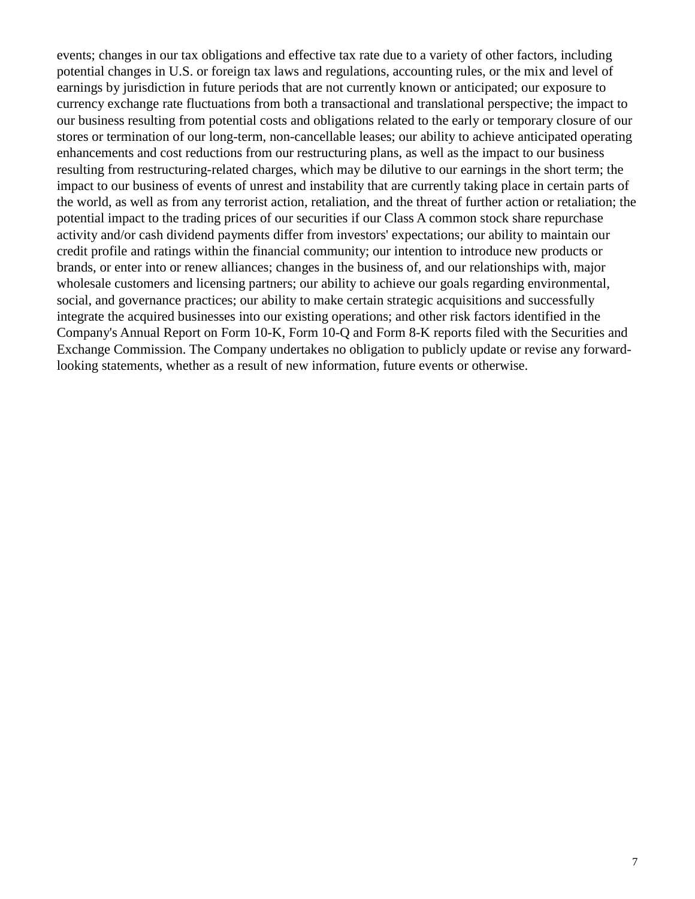events; changes in our tax obligations and effective tax rate due to a variety of other factors, including potential changes in U.S. or foreign tax laws and regulations, accounting rules, or the mix and level of earnings by jurisdiction in future periods that are not currently known or anticipated; our exposure to currency exchange rate fluctuations from both a transactional and translational perspective; the impact to our business resulting from potential costs and obligations related to the early or temporary closure of our stores or termination of our long-term, non-cancellable leases; our ability to achieve anticipated operating enhancements and cost reductions from our restructuring plans, as well as the impact to our business resulting from restructuring-related charges, which may be dilutive to our earnings in the short term; the impact to our business of events of unrest and instability that are currently taking place in certain parts of the world, as well as from any terrorist action, retaliation, and the threat of further action or retaliation; the potential impact to the trading prices of our securities if our Class A common stock share repurchase activity and/or cash dividend payments differ from investors' expectations; our ability to maintain our credit profile and ratings within the financial community; our intention to introduce new products or brands, or enter into or renew alliances; changes in the business of, and our relationships with, major wholesale customers and licensing partners; our ability to achieve our goals regarding environmental, social, and governance practices; our ability to make certain strategic acquisitions and successfully integrate the acquired businesses into our existing operations; and other risk factors identified in the Company's Annual Report on Form 10-K, Form 10-Q and Form 8-K reports filed with the Securities and Exchange Commission. The Company undertakes no obligation to publicly update or revise any forwardlooking statements, whether as a result of new information, future events or otherwise.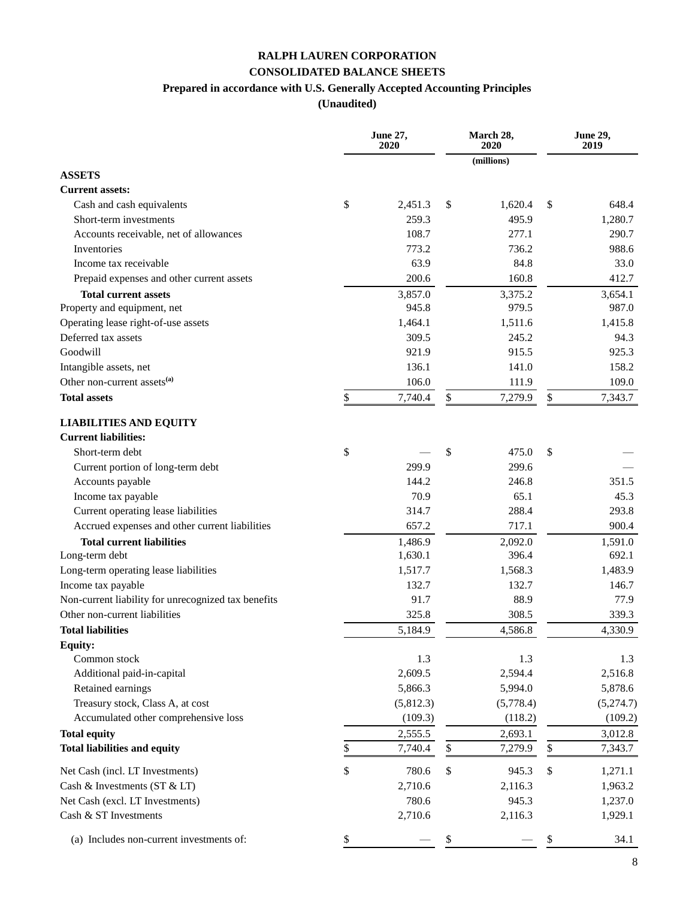#### **RALPH LAUREN CORPORATION CONSOLIDATED BALANCE SHEETS**

#### **Prepared in accordance with U.S. Generally Accepted Accounting Principles**

|                                                     | <b>June 27,</b><br>2020 | March 28,<br>2020 | <b>June 29,</b><br>2019 |           |  |
|-----------------------------------------------------|-------------------------|-------------------|-------------------------|-----------|--|
|                                                     |                         | (millions)        |                         |           |  |
| <b>ASSETS</b>                                       |                         |                   |                         |           |  |
| <b>Current assets:</b>                              |                         |                   |                         |           |  |
| Cash and cash equivalents                           | \$<br>2,451.3           | \$<br>1,620.4     | \$                      | 648.4     |  |
| Short-term investments                              | 259.3                   | 495.9             |                         | 1,280.7   |  |
| Accounts receivable, net of allowances              | 108.7                   | 277.1             |                         | 290.7     |  |
| Inventories                                         | 773.2                   | 736.2             |                         | 988.6     |  |
| Income tax receivable                               | 63.9                    | 84.8              |                         | 33.0      |  |
| Prepaid expenses and other current assets           | 200.6                   | 160.8             |                         | 412.7     |  |
| <b>Total current assets</b>                         | 3,857.0                 | 3,375.2           |                         | 3,654.1   |  |
| Property and equipment, net                         | 945.8                   | 979.5             |                         | 987.0     |  |
| Operating lease right-of-use assets                 | 1,464.1                 | 1,511.6           |                         | 1,415.8   |  |
| Deferred tax assets                                 | 309.5                   | 245.2             |                         | 94.3      |  |
| Goodwill                                            | 921.9                   | 915.5             |                         | 925.3     |  |
| Intangible assets, net                              | 136.1                   | 141.0             |                         | 158.2     |  |
| Other non-current assets <sup>(a)</sup>             | 106.0                   | 111.9             |                         | 109.0     |  |
| <b>Total assets</b>                                 | \$<br>7,740.4           | \$<br>7,279.9     | $\mathbb{S}$            | 7,343.7   |  |
| <b>LIABILITIES AND EQUITY</b>                       |                         |                   |                         |           |  |
| <b>Current liabilities:</b>                         |                         |                   |                         |           |  |
| Short-term debt                                     | \$                      | \$<br>475.0       | \$                      |           |  |
| Current portion of long-term debt                   | 299.9                   | 299.6             |                         |           |  |
| Accounts payable                                    | 144.2                   | 246.8             |                         | 351.5     |  |
| Income tax payable                                  | 70.9                    | 65.1              |                         | 45.3      |  |
| Current operating lease liabilities                 | 314.7                   | 288.4             |                         | 293.8     |  |
| Accrued expenses and other current liabilities      | 657.2                   | 717.1             |                         | 900.4     |  |
| <b>Total current liabilities</b>                    | 1,486.9                 | 2,092.0           |                         | 1,591.0   |  |
| Long-term debt                                      | 1,630.1                 | 396.4             |                         | 692.1     |  |
| Long-term operating lease liabilities               | 1,517.7                 | 1,568.3           |                         | 1,483.9   |  |
| Income tax payable                                  | 132.7                   | 132.7             |                         | 146.7     |  |
| Non-current liability for unrecognized tax benefits | 91.7                    | 88.9              |                         | 77.9      |  |
| Other non-current liabilities                       | 325.8                   | 308.5             |                         | 339.3     |  |
| <b>Total liabilities</b>                            | 5,184.9                 | 4,586.8           |                         | 4,330.9   |  |
| <b>Equity:</b>                                      |                         |                   |                         |           |  |
| Common stock                                        | 1.3                     | 1.3               |                         | 1.3       |  |
| Additional paid-in-capital                          | 2,609.5                 | 2,594.4           |                         | 2,516.8   |  |
| Retained earnings                                   | 5,866.3                 | 5,994.0           |                         | 5,878.6   |  |
| Treasury stock, Class A, at cost                    | (5,812.3)               | (5,778.4)         |                         | (5,274.7) |  |
| Accumulated other comprehensive loss                | (109.3)                 | (118.2)           |                         | (109.2)   |  |
| <b>Total equity</b>                                 | 2,555.5                 | 2,693.1           |                         | 3,012.8   |  |
| <b>Total liabilities and equity</b>                 | \$<br>7,740.4           | \$<br>7,279.9     | \$                      | 7,343.7   |  |
| Net Cash (incl. LT Investments)                     | \$<br>780.6             | \$<br>945.3       | \$                      | 1,271.1   |  |
| Cash & Investments (ST & LT)                        | 2,710.6                 | 2,116.3           |                         | 1,963.2   |  |
| Net Cash (excl. LT Investments)                     | 780.6                   | 945.3             |                         | 1,237.0   |  |
| Cash & ST Investments                               | 2,710.6                 | 2,116.3           |                         | 1,929.1   |  |
| (a) Includes non-current investments of:            | \$                      | \$                | \$                      | 34.1      |  |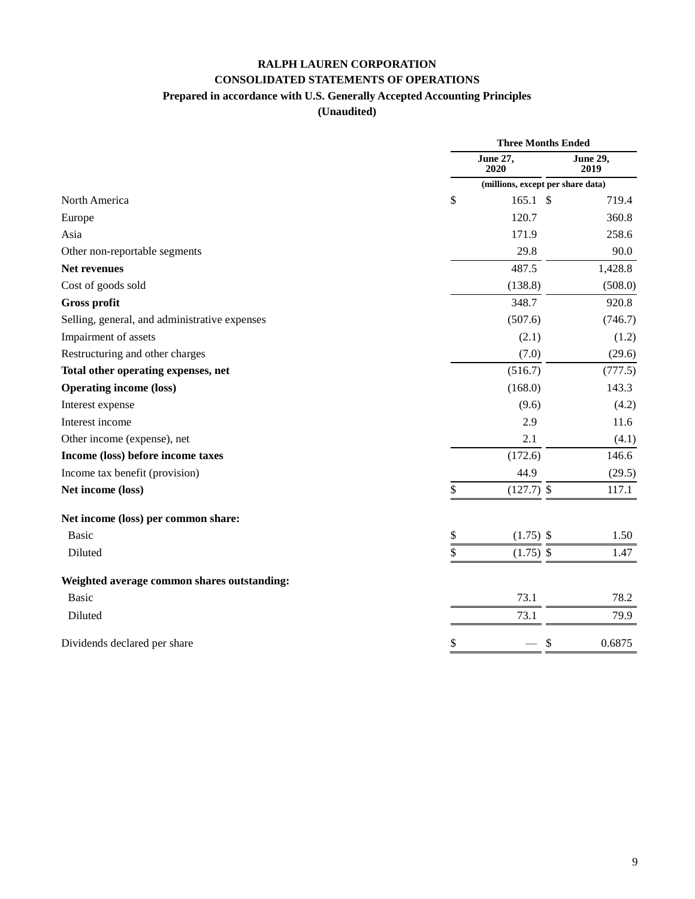## **RALPH LAUREN CORPORATION CONSOLIDATED STATEMENTS OF OPERATIONS**

### **Prepared in accordance with U.S. Generally Accepted Accounting Principles**

|                                               | <b>Three Months Ended</b>         |                  |  |  |  |  |
|-----------------------------------------------|-----------------------------------|------------------|--|--|--|--|
|                                               | <b>June 27,</b><br>2020           | June 29,<br>2019 |  |  |  |  |
|                                               | (millions, except per share data) |                  |  |  |  |  |
| North America                                 | \$<br>$165.1 \text{ }$ \$         | 719.4            |  |  |  |  |
| Europe                                        | 120.7                             | 360.8            |  |  |  |  |
| Asia                                          | 171.9                             | 258.6            |  |  |  |  |
| Other non-reportable segments                 | 29.8                              | 90.0             |  |  |  |  |
| <b>Net revenues</b>                           | 487.5                             | 1,428.8          |  |  |  |  |
| Cost of goods sold                            | (138.8)                           | (508.0)          |  |  |  |  |
| <b>Gross profit</b>                           | 348.7                             | 920.8            |  |  |  |  |
| Selling, general, and administrative expenses | (507.6)                           | (746.7)          |  |  |  |  |
| Impairment of assets                          | (2.1)                             | (1.2)            |  |  |  |  |
| Restructuring and other charges               | (7.0)                             | (29.6)           |  |  |  |  |
| Total other operating expenses, net           | (516.7)                           | (777.5)          |  |  |  |  |
| <b>Operating income (loss)</b>                | (168.0)                           | 143.3            |  |  |  |  |
| Interest expense                              | (9.6)                             | (4.2)            |  |  |  |  |
| Interest income                               | 2.9                               | 11.6             |  |  |  |  |
| Other income (expense), net                   | 2.1                               | (4.1)            |  |  |  |  |
| Income (loss) before income taxes             | (172.6)                           | 146.6            |  |  |  |  |
| Income tax benefit (provision)                | 44.9                              | (29.5)           |  |  |  |  |
| Net income (loss)                             | \$<br>$(127.7)$ \$                | 117.1            |  |  |  |  |
| Net income (loss) per common share:           |                                   |                  |  |  |  |  |
| <b>Basic</b>                                  | \$<br>$(1.75)$ \$                 | 1.50             |  |  |  |  |
| Diluted                                       | \$<br>$(1.75)$ \$                 | 1.47             |  |  |  |  |
| Weighted average common shares outstanding:   |                                   |                  |  |  |  |  |
| <b>Basic</b>                                  | 73.1                              | 78.2             |  |  |  |  |
| Diluted                                       | 73.1                              | 79.9             |  |  |  |  |
| Dividends declared per share                  | \$<br>\$                          | 0.6875           |  |  |  |  |
|                                               |                                   |                  |  |  |  |  |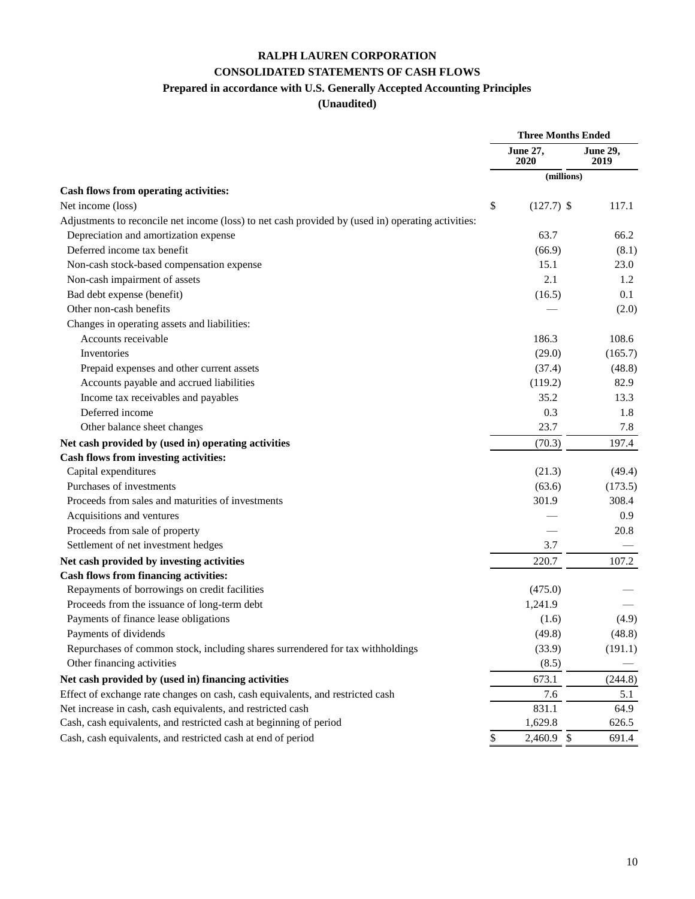## **RALPH LAUREN CORPORATION CONSOLIDATED STATEMENTS OF CASH FLOWS**

#### **Prepared in accordance with U.S. Generally Accepted Accounting Principles**

|                                                                                                    |    | <b>Three Months Ended</b> |                         |
|----------------------------------------------------------------------------------------------------|----|---------------------------|-------------------------|
|                                                                                                    |    | June 27,<br>2020          | <b>June 29,</b><br>2019 |
|                                                                                                    |    | (millions)                |                         |
| Cash flows from operating activities:                                                              |    |                           |                         |
| Net income (loss)                                                                                  | \$ | $(127.7)$ \$              | 117.1                   |
| Adjustments to reconcile net income (loss) to net cash provided by (used in) operating activities: |    |                           |                         |
| Depreciation and amortization expense                                                              |    | 63.7                      | 66.2                    |
| Deferred income tax benefit                                                                        |    | (66.9)                    | (8.1)                   |
| Non-cash stock-based compensation expense                                                          |    | 15.1                      | 23.0                    |
| Non-cash impairment of assets                                                                      |    | 2.1                       | 1.2                     |
| Bad debt expense (benefit)                                                                         |    | (16.5)                    | 0.1                     |
| Other non-cash benefits                                                                            |    |                           | (2.0)                   |
| Changes in operating assets and liabilities:                                                       |    |                           |                         |
| Accounts receivable                                                                                |    | 186.3                     | 108.6                   |
| Inventories                                                                                        |    | (29.0)                    | (165.7)                 |
| Prepaid expenses and other current assets                                                          |    | (37.4)                    | (48.8)                  |
| Accounts payable and accrued liabilities                                                           |    | (119.2)                   | 82.9                    |
| Income tax receivables and payables                                                                |    | 35.2                      | 13.3                    |
| Deferred income                                                                                    |    | 0.3                       | 1.8                     |
| Other balance sheet changes                                                                        |    | 23.7                      | 7.8                     |
| Net cash provided by (used in) operating activities                                                |    | (70.3)                    | 197.4                   |
| Cash flows from investing activities:                                                              |    |                           |                         |
| Capital expenditures                                                                               |    | (21.3)                    | (49.4)                  |
| Purchases of investments                                                                           |    | (63.6)                    | (173.5)                 |
| Proceeds from sales and maturities of investments                                                  |    | 301.9                     | 308.4                   |
| Acquisitions and ventures                                                                          |    |                           | 0.9                     |
| Proceeds from sale of property                                                                     |    |                           | 20.8                    |
| Settlement of net investment hedges                                                                |    | 3.7                       |                         |
| Net cash provided by investing activities                                                          |    | 220.7                     | 107.2                   |
| <b>Cash flows from financing activities:</b>                                                       |    |                           |                         |
| Repayments of borrowings on credit facilities                                                      |    | (475.0)                   |                         |
| Proceeds from the issuance of long-term debt                                                       |    | 1,241.9                   |                         |
| Payments of finance lease obligations                                                              |    | (1.6)                     | (4.9)                   |
| Payments of dividends                                                                              |    | (49.8)                    | (48.8)                  |
| Repurchases of common stock, including shares surrendered for tax withholdings                     |    | (33.9)                    | (191.1)                 |
| Other financing activities                                                                         |    | (8.5)                     |                         |
| Net cash provided by (used in) financing activities                                                |    | 673.1                     | (244.8)                 |
| Effect of exchange rate changes on cash, cash equivalents, and restricted cash                     |    | 7.6                       | 5.1                     |
| Net increase in cash, cash equivalents, and restricted cash                                        |    | 831.1                     | 64.9                    |
| Cash, cash equivalents, and restricted cash at beginning of period                                 |    | 1,629.8                   | 626.5                   |
| Cash, cash equivalents, and restricted cash at end of period                                       | \$ | 2,460.9 \$                | 691.4                   |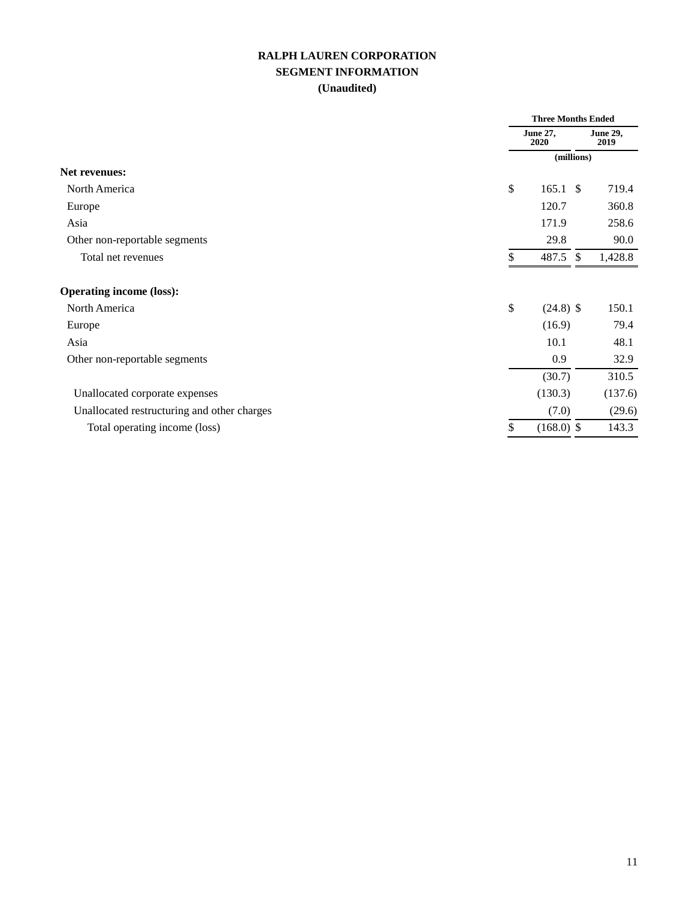#### **RALPH LAUREN CORPORATION SEGMENT INFORMATION (Unaudited)**

|                                             |                         | <b>Three Months Ended</b> |                  |  |  |
|---------------------------------------------|-------------------------|---------------------------|------------------|--|--|
|                                             | <b>June 27,</b><br>2020 |                           | June 29,<br>2019 |  |  |
|                                             |                         | (millions)                |                  |  |  |
| <b>Net revenues:</b>                        |                         |                           |                  |  |  |
| North America                               | \$                      | $165.1 \text{ }$ \$       | 719.4            |  |  |
| Europe                                      |                         | 120.7                     | 360.8            |  |  |
| Asia                                        |                         | 171.9                     | 258.6            |  |  |
| Other non-reportable segments               |                         | 29.8                      | 90.0             |  |  |
| Total net revenues                          | \$                      | 487.5 \$                  | 1,428.8          |  |  |
| <b>Operating income (loss):</b>             |                         |                           |                  |  |  |
| North America                               | \$                      | $(24.8)$ \$               | 150.1            |  |  |
| Europe                                      |                         | (16.9)                    | 79.4             |  |  |
| Asia                                        |                         | 10.1                      | 48.1             |  |  |
| Other non-reportable segments               |                         | 0.9                       | 32.9             |  |  |
|                                             |                         | (30.7)                    | 310.5            |  |  |
| Unallocated corporate expenses              |                         | (130.3)                   | (137.6)          |  |  |
| Unallocated restructuring and other charges |                         | (7.0)                     | (29.6)           |  |  |
| Total operating income (loss)               | \$                      | $(168.0)$ \$              | 143.3            |  |  |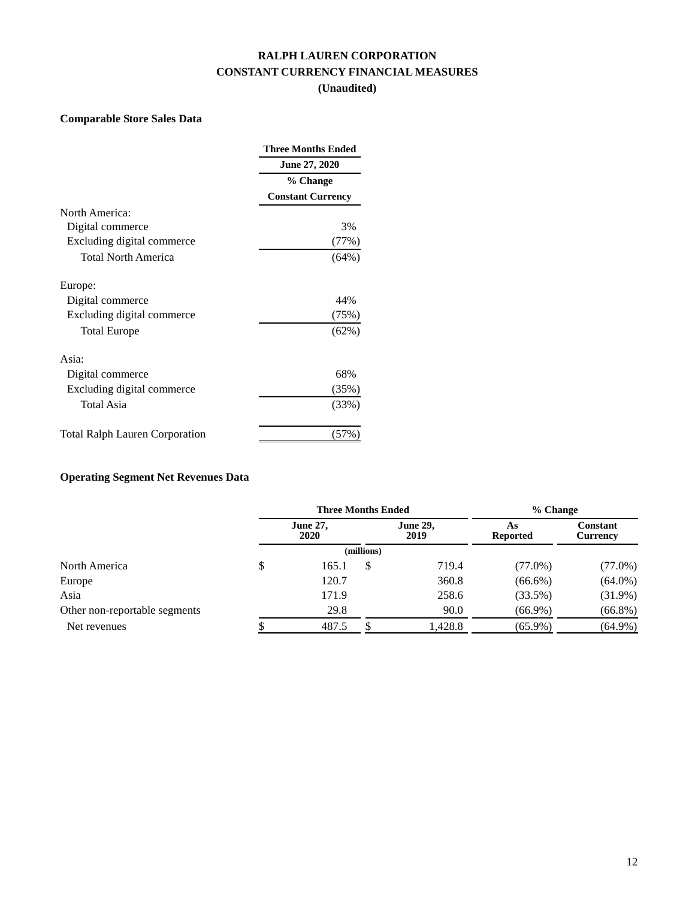#### **RALPH LAUREN CORPORATION CONSTANT CURRENCY FINANCIAL MEASURES (Unaudited)**

#### **Comparable Store Sales Data**

|                                       | <b>Three Months Ended</b> |
|---------------------------------------|---------------------------|
|                                       | June 27, 2020             |
|                                       | % Change                  |
|                                       | <b>Constant Currency</b>  |
| North America:                        |                           |
| Digital commerce                      | 3%                        |
| Excluding digital commerce            | (77%)                     |
| Total North America                   | (64%)                     |
| Europe:                               |                           |
| Digital commerce                      | 44%                       |
| Excluding digital commerce            | (75%)                     |
| <b>Total Europe</b>                   | (62%)                     |
| Asia:                                 |                           |
| Digital commerce                      | 68%                       |
| Excluding digital commerce            | $(35\%)$                  |
| <b>Total Asia</b>                     | (33%)                     |
| <b>Total Ralph Lauren Corporation</b> |                           |

# **Operating Segment Net Revenues Data**

|                               | <b>Three Months Ended</b> |            | % Change                |                       |                                    |  |
|-------------------------------|---------------------------|------------|-------------------------|-----------------------|------------------------------------|--|
|                               | <b>June 27,</b><br>2020   |            | <b>June 29,</b><br>2019 | As<br><b>Reported</b> | <b>Constant</b><br><b>Currency</b> |  |
|                               |                           | (millions) |                         |                       |                                    |  |
| North America                 | \$<br>165.1               | \$         | 719.4                   | $(77.0\%)$            | $(77.0\%)$                         |  |
| Europe                        | 120.7                     |            | 360.8                   | $(66.6\%)$            | $(64.0\%)$                         |  |
| Asia                          | 171.9                     |            | 258.6                   | (33.5%)               | $(31.9\%)$                         |  |
| Other non-reportable segments | 29.8                      |            | 90.0                    | $(66.9\%)$            | $(66.8\%)$                         |  |
| Net revenues                  | 487.5                     |            | 1,428.8                 | $(65.9\%)$            | $(64.9\%)$                         |  |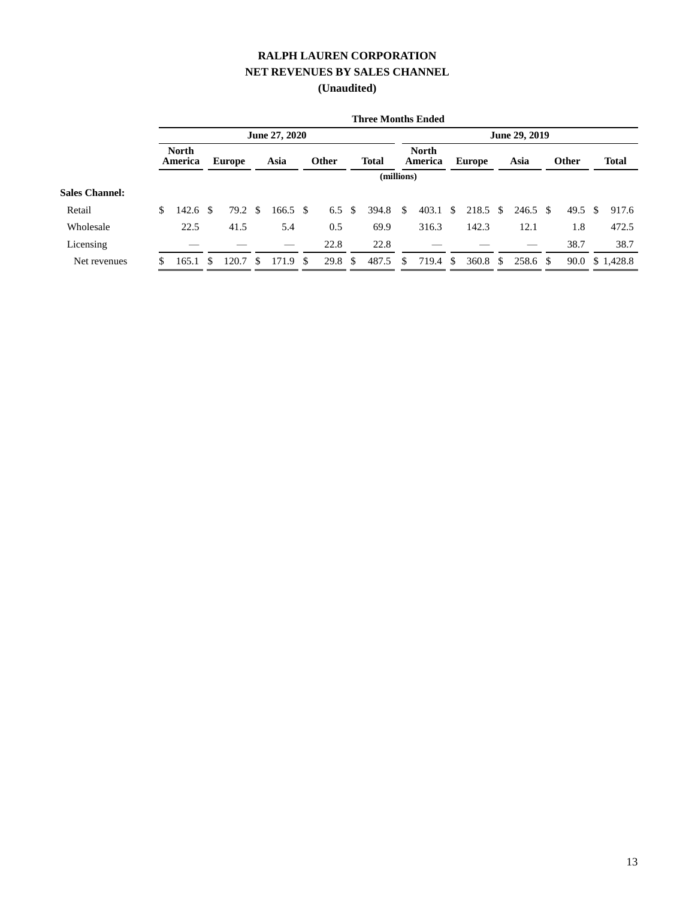# **RALPH LAUREN CORPORATION NET REVENUES BY SALES CHANNEL**

|                       |                         |     |                    |    |          |      |                   |  | <b>Three Months Ended</b> |    |                         |  |               |    |          |  |              |    |                 |
|-----------------------|-------------------------|-----|--------------------|----|----------|------|-------------------|--|---------------------------|----|-------------------------|--|---------------|----|----------|--|--------------|----|-----------------|
|                       | June 27, 2020           |     |                    |    |          |      |                   |  | June 29, 2019             |    |                         |  |               |    |          |  |              |    |                 |
|                       | <b>North</b><br>America |     | Europe             |    | Asia     |      | <b>Other</b>      |  | <b>Total</b>              |    | <b>North</b><br>America |  | <b>Europe</b> |    | Asia     |  | <b>Other</b> |    | <b>Total</b>    |
|                       |                         |     |                    |    |          |      |                   |  | (millions)                |    |                         |  |               |    |          |  |              |    |                 |
| <b>Sales Channel:</b> |                         |     |                    |    |          |      |                   |  |                           |    |                         |  |               |    |          |  |              |    |                 |
| Retail                | \$<br>142.6             | -\$ | $79.2 \text{ }$ \$ |    | 166.5 \$ |      | 6.5 $\sqrt{3}$    |  | 394.8                     | -S | $403.1 \text{ }$ \$     |  | 218.5         | -S | 246.5 \$ |  | 49.5         | -S | 917.6           |
| Wholesale             | 22.5                    |     | 41.5               |    | 5.4      |      | 0.5               |  | 69.9                      |    | 316.3                   |  | 142.3         |    | 12.1     |  | 1.8          |    | 472.5           |
| Licensing             |                         |     |                    |    |          |      | 22.8              |  | 22.8                      |    |                         |  |               |    |          |  | 38.7         |    | 38.7            |
| Net revenues          | 165.1                   | -S  | 120.7              | -S | 171.9    | - \$ | 29.8 <sup>°</sup> |  | 487.5                     | S  | 719.4 \$                |  | 360.8         | S. | 258.6 \$ |  |              |    | 90.0 \$ 1,428.8 |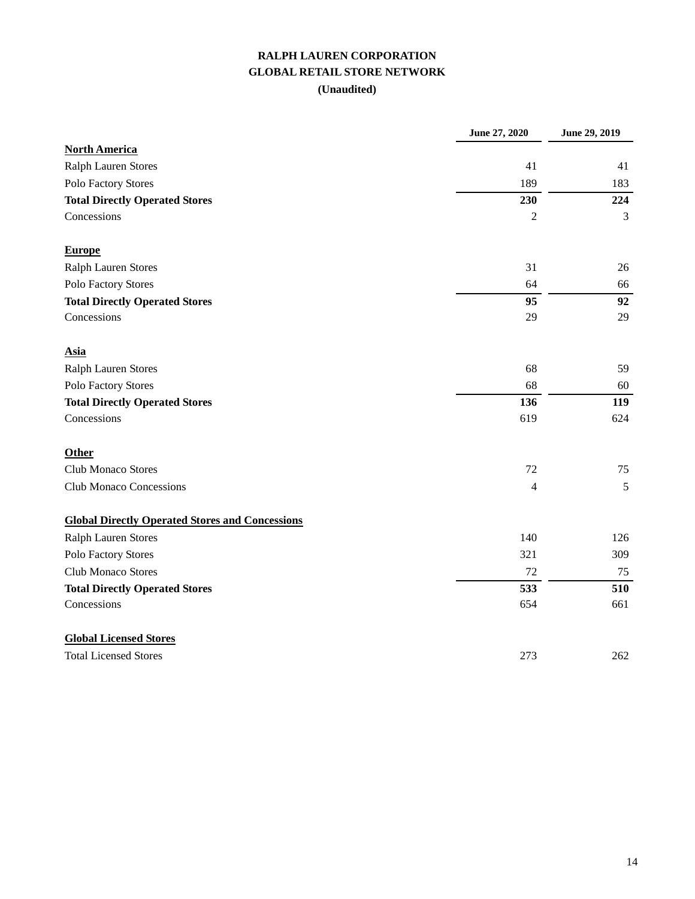# **RALPH LAUREN CORPORATION GLOBAL RETAIL STORE NETWORK**

|                                                        | June 27, 2020  | June 29, 2019 |
|--------------------------------------------------------|----------------|---------------|
| <b>North America</b>                                   |                |               |
| Ralph Lauren Stores                                    | 41             | 41            |
| Polo Factory Stores                                    | 189            | 183           |
| <b>Total Directly Operated Stores</b>                  | 230            | 224           |
| Concessions                                            | $\overline{2}$ | 3             |
| <b>Europe</b>                                          |                |               |
| <b>Ralph Lauren Stores</b>                             | 31             | 26            |
| Polo Factory Stores                                    | 64             | 66            |
| <b>Total Directly Operated Stores</b>                  | 95             | 92            |
| Concessions                                            | 29             | 29            |
| <b>Asia</b>                                            |                |               |
| <b>Ralph Lauren Stores</b>                             | 68             | 59            |
| Polo Factory Stores                                    | 68             | 60            |
| <b>Total Directly Operated Stores</b>                  | 136            | 119           |
| Concessions                                            | 619            | 624           |
| Other                                                  |                |               |
| <b>Club Monaco Stores</b>                              | 72             | 75            |
| <b>Club Monaco Concessions</b>                         | 4              | 5             |
| <b>Global Directly Operated Stores and Concessions</b> |                |               |
| Ralph Lauren Stores                                    | 140            | 126           |
| Polo Factory Stores                                    | 321            | 309           |
| Club Monaco Stores                                     | 72             | 75            |
| <b>Total Directly Operated Stores</b>                  | 533            | 510           |
| Concessions                                            | 654            | 661           |
| <b>Global Licensed Stores</b>                          |                |               |
| <b>Total Licensed Stores</b>                           | 273            | 262           |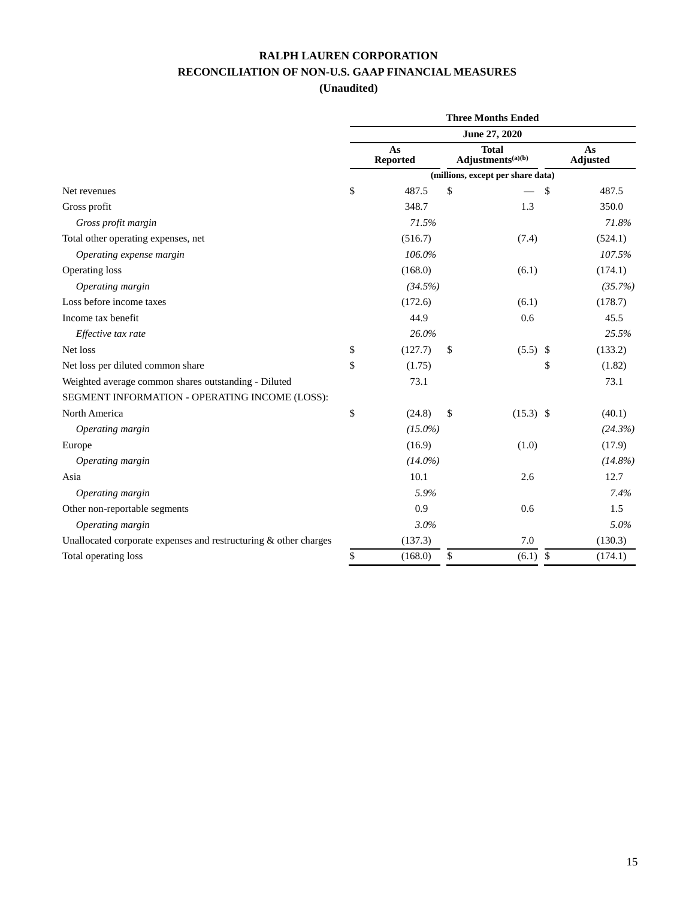## **RALPH LAUREN CORPORATION RECONCILIATION OF NON-U.S. GAAP FINANCIAL MEASURES**

|                                                                    | <b>Three Months Ended</b> |                       |    |                                               |                       |  |  |  |  |  |
|--------------------------------------------------------------------|---------------------------|-----------------------|----|-----------------------------------------------|-----------------------|--|--|--|--|--|
|                                                                    | June 27, 2020             |                       |    |                                               |                       |  |  |  |  |  |
|                                                                    |                           | As<br><b>Reported</b> |    | <b>Total</b><br>Adjustments <sup>(a)(b)</sup> | As<br><b>Adjusted</b> |  |  |  |  |  |
|                                                                    |                           |                       |    | (millions, except per share data)             |                       |  |  |  |  |  |
| Net revenues                                                       | \$                        | 487.5                 | \$ | \$                                            | 487.5                 |  |  |  |  |  |
| Gross profit                                                       |                           | 348.7                 |    | 1.3                                           | 350.0                 |  |  |  |  |  |
| Gross profit margin                                                |                           | 71.5%                 |    |                                               | 71.8%                 |  |  |  |  |  |
| Total other operating expenses, net                                |                           | (516.7)               |    | (7.4)                                         | (524.1)               |  |  |  |  |  |
| Operating expense margin                                           |                           | 106.0%                |    |                                               | 107.5%                |  |  |  |  |  |
| Operating loss                                                     |                           | (168.0)               |    | (6.1)                                         | (174.1)               |  |  |  |  |  |
| Operating margin                                                   |                           | (34.5%)               |    |                                               | (35.7%)               |  |  |  |  |  |
| Loss before income taxes                                           |                           | (172.6)               |    | (6.1)                                         | (178.7)               |  |  |  |  |  |
| Income tax benefit                                                 |                           | 44.9                  |    | 0.6                                           | 45.5                  |  |  |  |  |  |
| Effective tax rate                                                 |                           | 26.0%                 |    |                                               | 25.5%                 |  |  |  |  |  |
| Net loss                                                           | \$                        | (127.7)               | \$ | $(5.5)$ \$                                    | (133.2)               |  |  |  |  |  |
| Net loss per diluted common share                                  | \$                        | (1.75)                |    | \$                                            | (1.82)                |  |  |  |  |  |
| Weighted average common shares outstanding - Diluted               |                           | 73.1                  |    |                                               | 73.1                  |  |  |  |  |  |
| SEGMENT INFORMATION - OPERATING INCOME (LOSS):                     |                           |                       |    |                                               |                       |  |  |  |  |  |
| North America                                                      | \$                        | (24.8)                | \$ | $(15.3)$ \$                                   | (40.1)                |  |  |  |  |  |
| Operating margin                                                   |                           | $(15.0\%)$            |    |                                               | (24.3%)               |  |  |  |  |  |
| Europe                                                             |                           | (16.9)                |    | (1.0)                                         | (17.9)                |  |  |  |  |  |
| Operating margin                                                   |                           | $(14.0\%)$            |    |                                               | $(14.8\%)$            |  |  |  |  |  |
| Asia                                                               |                           | 10.1                  |    | 2.6                                           | 12.7                  |  |  |  |  |  |
| Operating margin                                                   |                           | 5.9%                  |    |                                               | 7.4%                  |  |  |  |  |  |
| Other non-reportable segments                                      |                           | 0.9                   |    | 0.6                                           | 1.5                   |  |  |  |  |  |
| Operating margin                                                   |                           | 3.0%                  |    |                                               | 5.0%                  |  |  |  |  |  |
| Unallocated corporate expenses and restructuring $&$ other charges |                           | (137.3)               |    | 7.0                                           | (130.3)               |  |  |  |  |  |
| Total operating loss                                               | \$                        | (168.0)               | \$ | \$<br>(6.1)                                   | (174.1)               |  |  |  |  |  |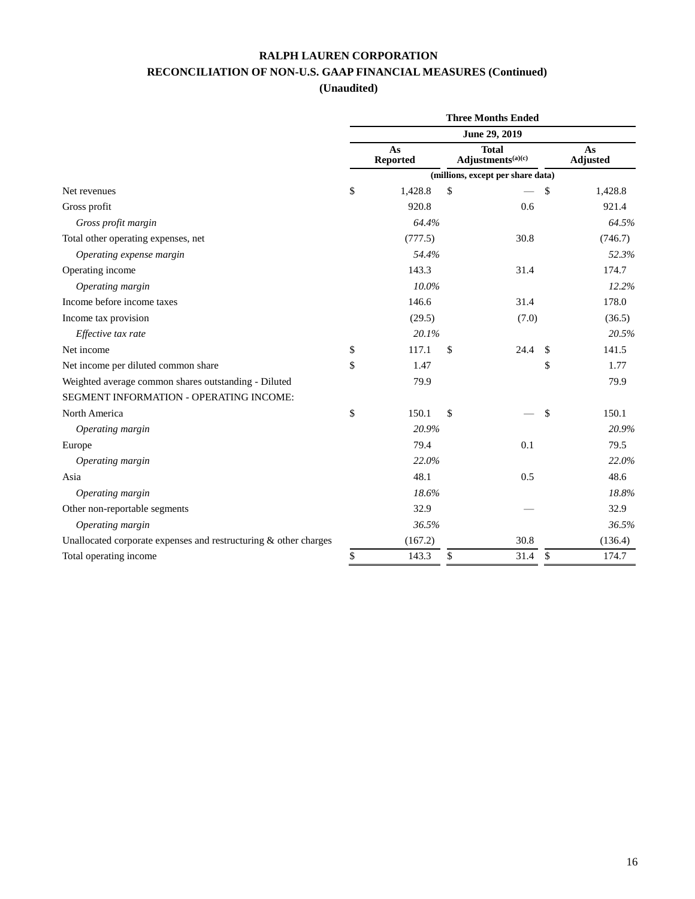## **RALPH LAUREN CORPORATION RECONCILIATION OF NON-U.S. GAAP FINANCIAL MEASURES (Continued)**

|                                                                    | <b>Three Months Ended</b> |                       |    |                                               |                       |  |  |  |  |  |
|--------------------------------------------------------------------|---------------------------|-----------------------|----|-----------------------------------------------|-----------------------|--|--|--|--|--|
|                                                                    | June 29, 2019             |                       |    |                                               |                       |  |  |  |  |  |
|                                                                    |                           | As<br><b>Reported</b> |    | <b>Total</b><br>Adjustments <sup>(a)(c)</sup> | As<br><b>Adjusted</b> |  |  |  |  |  |
|                                                                    |                           |                       |    | (millions, except per share data)             |                       |  |  |  |  |  |
| Net revenues                                                       | \$                        | 1,428.8               | \$ | \$                                            | 1,428.8               |  |  |  |  |  |
| Gross profit                                                       |                           | 920.8                 |    | 0.6                                           | 921.4                 |  |  |  |  |  |
| Gross profit margin                                                |                           | 64.4%                 |    |                                               | 64.5%                 |  |  |  |  |  |
| Total other operating expenses, net                                |                           | (777.5)               |    | 30.8                                          | (746.7)               |  |  |  |  |  |
| Operating expense margin                                           |                           | 54.4%                 |    |                                               | 52.3%                 |  |  |  |  |  |
| Operating income                                                   |                           | 143.3                 |    | 31.4                                          | 174.7                 |  |  |  |  |  |
| Operating margin                                                   |                           | 10.0%                 |    |                                               | 12.2%                 |  |  |  |  |  |
| Income before income taxes                                         |                           | 146.6                 |    | 31.4                                          | 178.0                 |  |  |  |  |  |
| Income tax provision                                               |                           | (29.5)                |    | (7.0)                                         | (36.5)                |  |  |  |  |  |
| Effective tax rate                                                 |                           | 20.1%                 |    |                                               | 20.5%                 |  |  |  |  |  |
| Net income                                                         | \$                        | 117.1                 | \$ | 24.4<br>$\mathbb{S}$                          | 141.5                 |  |  |  |  |  |
| Net income per diluted common share                                | \$                        | 1.47                  |    | \$                                            | 1.77                  |  |  |  |  |  |
| Weighted average common shares outstanding - Diluted               |                           | 79.9                  |    |                                               | 79.9                  |  |  |  |  |  |
| SEGMENT INFORMATION - OPERATING INCOME:                            |                           |                       |    |                                               |                       |  |  |  |  |  |
| North America                                                      | \$                        | 150.1                 | \$ | \$                                            | 150.1                 |  |  |  |  |  |
| Operating margin                                                   |                           | 20.9%                 |    |                                               | 20.9%                 |  |  |  |  |  |
| Europe                                                             |                           | 79.4                  |    | 0.1                                           | 79.5                  |  |  |  |  |  |
| Operating margin                                                   |                           | 22.0%                 |    |                                               | 22.0%                 |  |  |  |  |  |
| Asia                                                               |                           | 48.1                  |    | 0.5                                           | 48.6                  |  |  |  |  |  |
| Operating margin                                                   |                           | 18.6%                 |    |                                               | 18.8%                 |  |  |  |  |  |
| Other non-reportable segments                                      |                           | 32.9                  |    |                                               | 32.9                  |  |  |  |  |  |
| Operating margin                                                   |                           | 36.5%                 |    |                                               | 36.5%                 |  |  |  |  |  |
| Unallocated corporate expenses and restructuring $&$ other charges |                           | (167.2)               |    | 30.8                                          | (136.4)               |  |  |  |  |  |
| Total operating income                                             | \$                        | 143.3                 | \$ | 31.4<br>\$                                    | 174.7                 |  |  |  |  |  |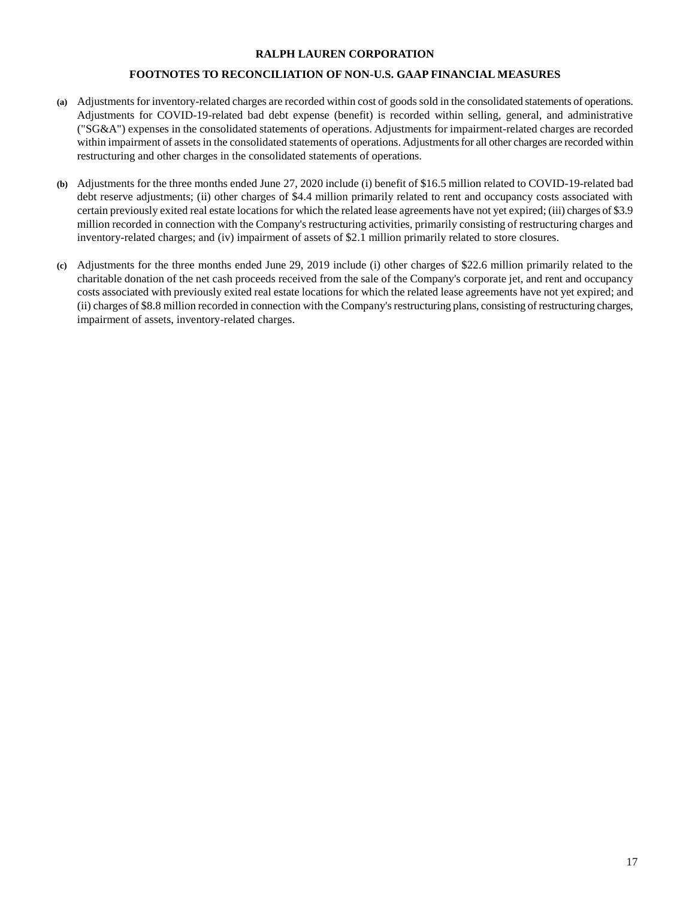#### **RALPH LAUREN CORPORATION**

#### **FOOTNOTES TO RECONCILIATION OF NON-U.S. GAAP FINANCIAL MEASURES**

- **(a)** Adjustments for inventory-related charges are recorded within cost of goods sold in the consolidated statements of operations. Adjustments for COVID-19-related bad debt expense (benefit) is recorded within selling, general, and administrative ("SG&A") expenses in the consolidated statements of operations. Adjustments for impairment-related charges are recorded within impairment of assets in the consolidated statements of operations. Adjustments for all other charges are recorded within restructuring and other charges in the consolidated statements of operations.
- **(b)** Adjustments for the three months ended June 27, 2020 include (i) benefit of \$16.5 million related to COVID-19-related bad debt reserve adjustments; (ii) other charges of \$4.4 million primarily related to rent and occupancy costs associated with certain previously exited real estate locations for which the related lease agreements have not yet expired; (iii) charges of \$3.9 million recorded in connection with the Company's restructuring activities, primarily consisting of restructuring charges and inventory-related charges; and (iv) impairment of assets of \$2.1 million primarily related to store closures.
- **(c)** Adjustments for the three months ended June 29, 2019 include (i) other charges of \$22.6 million primarily related to the charitable donation of the net cash proceeds received from the sale of the Company's corporate jet, and rent and occupancy costs associated with previously exited real estate locations for which the related lease agreements have not yet expired; and (ii) charges of \$8.8 million recorded in connection with the Company's restructuring plans, consisting of restructuring charges, impairment of assets, inventory-related charges.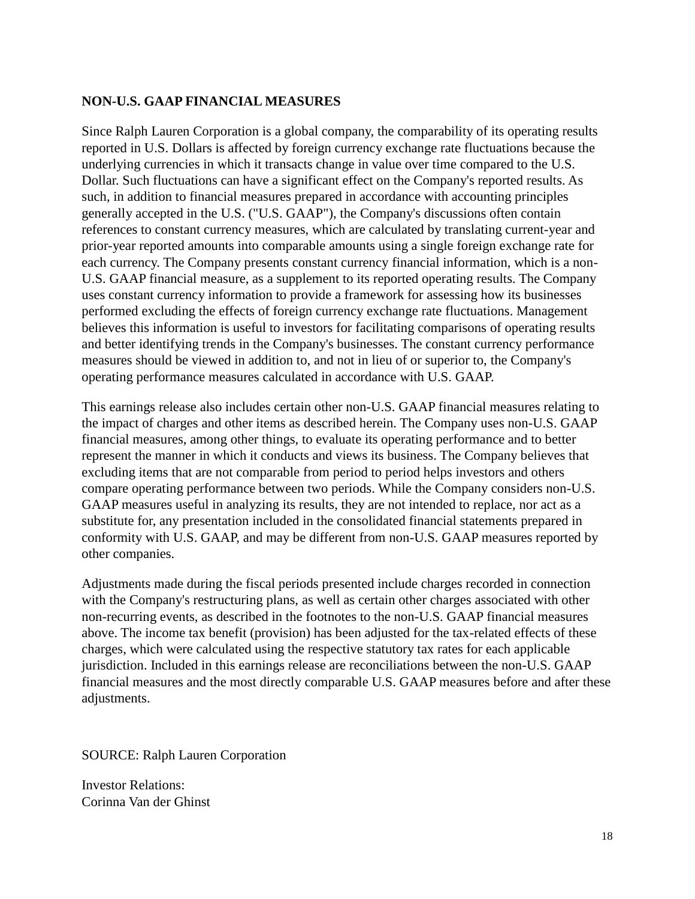#### **NON-U.S. GAAP FINANCIAL MEASURES**

Since Ralph Lauren Corporation is a global company, the comparability of its operating results reported in U.S. Dollars is affected by foreign currency exchange rate fluctuations because the underlying currencies in which it transacts change in value over time compared to the U.S. Dollar. Such fluctuations can have a significant effect on the Company's reported results. As such, in addition to financial measures prepared in accordance with accounting principles generally accepted in the U.S. ("U.S. GAAP"), the Company's discussions often contain references to constant currency measures, which are calculated by translating current-year and prior-year reported amounts into comparable amounts using a single foreign exchange rate for each currency. The Company presents constant currency financial information, which is a non-U.S. GAAP financial measure, as a supplement to its reported operating results. The Company uses constant currency information to provide a framework for assessing how its businesses performed excluding the effects of foreign currency exchange rate fluctuations. Management believes this information is useful to investors for facilitating comparisons of operating results and better identifying trends in the Company's businesses. The constant currency performance measures should be viewed in addition to, and not in lieu of or superior to, the Company's operating performance measures calculated in accordance with U.S. GAAP.

This earnings release also includes certain other non-U.S. GAAP financial measures relating to the impact of charges and other items as described herein. The Company uses non-U.S. GAAP financial measures, among other things, to evaluate its operating performance and to better represent the manner in which it conducts and views its business. The Company believes that excluding items that are not comparable from period to period helps investors and others compare operating performance between two periods. While the Company considers non-U.S. GAAP measures useful in analyzing its results, they are not intended to replace, nor act as a substitute for, any presentation included in the consolidated financial statements prepared in conformity with U.S. GAAP, and may be different from non-U.S. GAAP measures reported by other companies.

Adjustments made during the fiscal periods presented include charges recorded in connection with the Company's restructuring plans, as well as certain other charges associated with other non-recurring events, as described in the footnotes to the non-U.S. GAAP financial measures above. The income tax benefit (provision) has been adjusted for the tax-related effects of these charges, which were calculated using the respective statutory tax rates for each applicable jurisdiction. Included in this earnings release are reconciliations between the non-U.S. GAAP financial measures and the most directly comparable U.S. GAAP measures before and after these adjustments.

SOURCE: Ralph Lauren Corporation

Investor Relations: Corinna Van der Ghinst